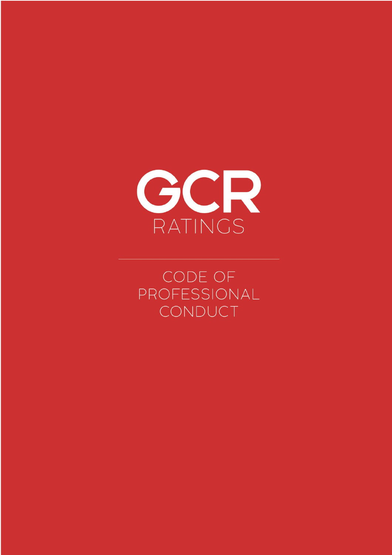

CODE OF PROFESSIONAL CONDUCT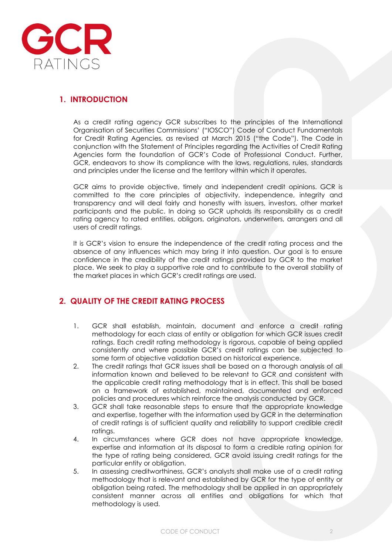

# **1. INTRODUCTION**

As a credit rating agency GCR subscribes to the principles of the International Organisation of Securities Commissions' ("IOSCO") Code of Conduct Fundamentals for Credit Rating Agencies, as revised at March 2015 ("the Code"). The Code in conjunction with the Statement of Principles regarding the Activities of Credit Rating Agencies form the foundation of GCR's Code of Professional Conduct. Further, GCR, endeavors to show its compliance with the laws, regulations, rules, standards and principles under the license and the territory within which it operates.

GCR aims to provide objective, timely and independent credit opinions. GCR is committed to the core principles of objectivity, independence, integrity and transparency and will deal fairly and honestly with issuers, investors, other market participants and the public. In doing so GCR upholds its responsibility as a credit rating agency to rated entities, obligors, originators, underwriters, arrangers and all users of credit ratings.

It is GCR's vision to ensure the independence of the credit rating process and the absence of any influences which may bring it into question. Our goal is to ensure confidence in the credibility of the credit ratings provided by GCR to the market place. We seek to play a supportive role and to contribute to the overall stability of the market places in which GCR's credit ratings are used.

### **2. QUALITY OF THE CREDIT RATING PROCESS**

- 1. GCR shall establish, maintain, document and enforce a credit rating methodology for each class of entity or obligation for which GCR issues credit ratings. Each credit rating methodology is rigorous, capable of being applied consistently and where possible GCR's credit ratings can be subjected to some form of objective validation based on historical experience.
- 2. The credit ratings that GCR issues shall be based on a thorough analysis of all information known and believed to be relevant to GCR and consistent with the applicable credit rating methodology that is in effect. This shall be based on a framework of established, maintained, documented and enforced policies and procedures which reinforce the analysis conducted by GCR.
- 3. GCR shall take reasonable steps to ensure that the appropriate knowledge and expertise, together with the information used by GCR in the determination of credit ratings is of sufficient quality and reliability to support credible credit ratings.
- 4. In circumstances where GCR does not have appropriate knowledge, expertise and information at its disposal to form a credible rating opinion for the type of rating being considered, GCR avoid issuing credit ratings for the particular entity or obligation.
- 5. In assessing creditworthiness, GCR's analysts shall make use of a credit rating methodology that is relevant and established by GCR for the type of entity or obligation being rated. The methodology shall be applied in an appropriately consistent manner across all entities and obligations for which that methodology is used.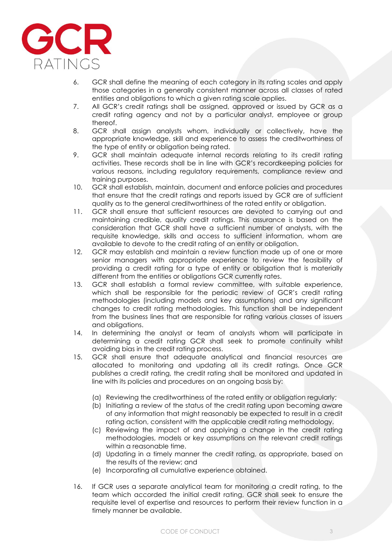

- 6. GCR shall define the meaning of each category in its rating scales and apply those categories in a generally consistent manner across all classes of rated entities and obligations to which a given rating scale applies.
- 7. All GCR's credit ratings shall be assigned, approved or issued by GCR as a credit rating agency and not by a particular analyst, employee or group thereof.
- 8. GCR shall assign analysts whom, individually or collectively, have the appropriate knowledge, skill and experience to assess the creditworthiness of the type of entity or obligation being rated.
- 9. GCR shall maintain adequate internal records relating to its credit rating activities. These records shall be in line with GCR's recordkeeping policies for various reasons, including regulatory requirements, compliance review and training purposes.
- 10. GCR shall establish, maintain, document and enforce policies and procedures that ensure that the credit ratings and reports issued by GCR are of sufficient quality as to the general creditworthiness of the rated entity or obligation.
- 11. GCR shall ensure that sufficient resources are devoted to carrying out and maintaining credible, quality credit ratings. This assurance is based on the consideration that GCR shall have a sufficient number of analysts, with the requisite knowledge, skills and access to sufficient information, whom are available to devote to the credit rating of an entity or obligation.
- 12. GCR may establish and maintain a review function made up of one or more senior managers with appropriate experience to review the feasibility of providing a credit rating for a type of entity or obligation that is materially different from the entities or obligations GCR currently rates.
- 13. GCR shall establish a formal review committee, with suitable experience, which shall be responsible for the periodic review of GCR's credit rating methodologies (including models and key assumptions) and any significant changes to credit rating methodologies. This function shall be independent from the business lines that are responsible for rating various classes of issuers and obligations.
- 14. In determining the analyst or team of analysts whom will participate in determining a credit rating GCR shall seek to promote continuity whilst avoiding bias in the credit rating process.
- 15. GCR shall ensure that adequate analytical and financial resources are allocated to monitoring and updating all its credit ratings. Once GCR publishes a credit rating, the credit rating shall be monitored and updated in line with its policies and procedures on an ongoing basis by:
	- (a) Reviewing the creditworthiness of the rated entity or obligation regularly;
	- (b) Initiating a review of the status of the credit rating upon becoming aware of any information that might reasonably be expected to result in a credit rating action, consistent with the applicable credit rating methodology.
	- (c) Reviewing the impact of and applying a change in the credit rating methodologies, models or key assumptions on the relevant credit ratings within a reasonable time.
	- (d) Updating in a timely manner the credit rating, as appropriate, based on the results of the review; and
	- (e) Incorporating all cumulative experience obtained.
- 16. If GCR uses a separate analytical team for monitoring a credit rating, to the team which accorded the initial credit rating, GCR shall seek to ensure the requisite level of expertise and resources to perform their review function in a timely manner be available.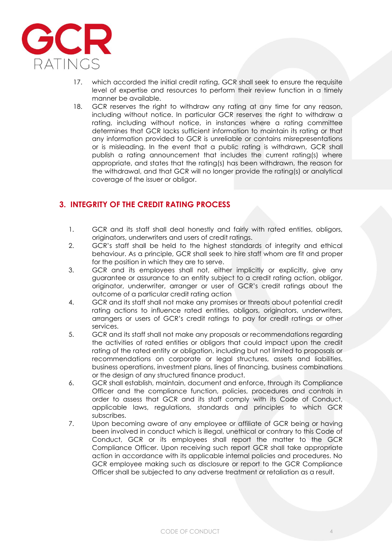

- 17. which accorded the initial credit rating, GCR shall seek to ensure the requisite level of expertise and resources to perform their review function in a timely manner be available.
- 18. GCR reserves the right to withdraw any rating at any time for any reason, including without notice. In particular GCR reserves the right to withdraw a rating, including without notice, in instances where a rating committee determines that GCR lacks sufficient information to maintain its rating or that any information provided to GCR is unreliable or contains misrepresentations or is misleading. In the event that a public rating is withdrawn, GCR shall publish a rating announcement that includes the current rating(s) where appropriate, and states that the rating(s) has been withdrawn, the reason for the withdrawal, and that GCR will no longer provide the rating(s) or analytical coverage of the issuer or obligor.

## **3. INTEGRITY OF THE CREDIT RATING PROCESS**

- 1. GCR and its staff shall deal honestly and fairly with rated entities, obligors, originators, underwriters and users of credit ratings.
- 2. GCR's staff shall be held to the highest standards of integrity and ethical behaviour. As a principle, GCR shall seek to hire staff whom are fit and proper for the position in which they are to serve.
- 3. GCR and its employees shall not, either implicitly or explicitly, give any guarantee or assurance to an entity subject to a credit rating action, obligor, originator, underwriter, arranger or user of GCR's credit ratings about the outcome of a particular credit rating action
- 4. GCR and its staff shall not make any promises or threats about potential credit rating actions to influence rated entities, obligors, originators, underwriters, arrangers or users of GCR's credit ratings to pay for credit ratings or other services.
- 5. GCR and its staff shall not make any proposals or recommendations regarding the activities of rated entities or obligors that could impact upon the credit rating of the rated entity or obligation, including but not limited to proposals or recommendations on corporate or legal structures, assets and liabilities, business operations, investment plans, lines of financing, business combinations or the design of any structured finance product.
- 6. GCR shall establish, maintain, document and enforce, through its Compliance Officer and the compliance function, policies, procedures and controls in order to assess that GCR and its staff comply with its Code of Conduct, applicable laws, regulations, standards and principles to which GCR subscribes.
- 7. Upon becoming aware of any employee or affiliate of GCR being or having been involved in conduct which is illegal, unethical or contrary to this Code of Conduct, GCR or its employees shall report the matter to the GCR Compliance Officer. Upon receiving such report GCR shall take appropriate action in accordance with its applicable internal policies and procedures. No GCR employee making such as disclosure or report to the GCR Compliance Officer shall be subjected to any adverse treatment or retaliation as a result.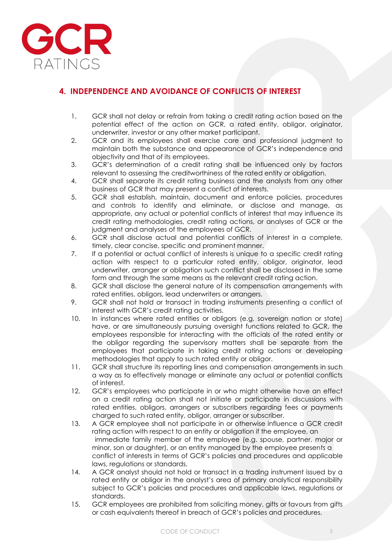

# **4. INDEPENDENCE AND AVOIDANCE OF CONFLICTS OF INTEREST**

- 1. GCR shall not delay or refrain from taking a credit rating action based on the potential effect of the action on GCR, a rated entity, obligor, originator, underwriter, investor or any other market participant.
- 2. GCR and its employees shall exercise care and professional judgment to maintain both the substance and appearance of GCR's independence and objectivity and that of its employees.
- 3. GCR's determination of a credit rating shall be influenced only by factors relevant to assessing the creditworthiness of the rated entity or obligation.
- 4. GCR shall separate its credit rating business and the analysts from any other business of GCR that may present a conflict of interests.
- 5. GCR shall establish, maintain, document and enforce policies, procedures and controls to identify and eliminate, or disclose and manage, as appropriate, any actual or potential conflicts of interest that may influence its credit rating methodologies, credit rating actions, or analyses of GCR or the judgment and analyses of the employees of GCR.
- 6. GCR shall disclose actual and potential conflicts of interest in a complete, timely, clear concise, specific and prominent manner.
- 7. If a potential or actual conflict of interests is unique to a specific credit rating action with respect to a particular rated entity, obligor, originator, lead underwriter, arranger or obligation such conflict shall be disclosed in the same form and through the same means as the relevant credit rating action.
- 8. GCR shall disclose the general nature of its compensation arrangements with rated entities, obligors, lead underwriters or arrangers.
- 9. GCR shall not hold or transact in trading instruments presenting a conflict of interest with GCR's credit rating activities.
- 10. In instances where rated entities or obligors (e.g. sovereign nation or state) have, or are simultaneously pursuing oversight functions related to GCR, the employees responsible for interacting with the officials of the rated entity or the obligor regarding the supervisory matters shall be separate from the employees that participate in taking credit rating actions or developing methodologies that apply to such rated entity or obligor.
- 11. GCR shall structure its reporting lines and compensation arrangements in such a way as to effectively manage or eliminate any actual or potential conflicts of interest.
- 12. GCR's employees who participate in or who might otherwise have an effect on a credit rating action shall not initiate or participate in discussions with rated entities, obligors, arrangers or subscribers regarding fees or payments charged to such rated entity, obligor, arranger or subscriber.
- 13. A GCR employee shall not participate in or otherwise influence a GCR credit rating action with respect to an entity or obligation if the employee, an immediate family member of the employee (e.g. spouse, partner, major or minor, son or daughter), or an entity managed by the employee presents a conflict of interests in terms of GCR's policies and procedures and applicable laws, regulations or standards.
- 14. A GCR analyst should not hold or transact in a trading instrument issued by a rated entity or obligor in the analyst's area of primary analytical responsibility subject to GCR's policies and procedures and applicable laws, regulations or standards.
- 15. GCR employees are prohibited from soliciting money, gifts or favours from gifts or cash equivalents thereof in breach of GCR's policies and procedures.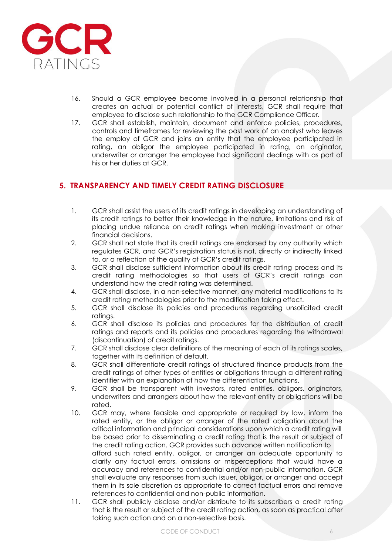

- 16. Should a GCR employee become involved in a personal relationship that creates an actual or potential conflict of interests, GCR shall require that employee to disclose such relationship to the GCR Compliance Officer.
- 17. GCR shall establish, maintain, document and enforce policies, procedures, controls and timeframes for reviewing the past work of an analyst who leaves the employ of GCR and joins an entity that the employee participated in rating, an obligor the employee participated in rating, an originator, underwriter or arranger the employee had significant dealings with as part of his or her duties at GCR.

## **5. TRANSPARENCY AND TIMELY CREDIT RATING DISCLOSURE**

- 1. GCR shall assist the users of its credit ratings in developing an understanding of its credit ratings to better their knowledge in the nature, limitations and risk of placing undue reliance on credit ratings when making investment or other financial decisions.
- 2. GCR shall not state that its credit ratings are endorsed by any authority which regulates GCR, and GCR's registration status is not, directly or indirectly linked to, or a reflection of the quality of GCR's credit ratings.
- 3. GCR shall disclose sufficient information about its credit rating process and its credit rating methodologies so that users of GCR's credit ratings can understand how the credit rating was determined.
- 4. GCR shall disclose, in a non-selective manner, any material modifications to its credit rating methodologies prior to the modification taking effect.
- 5. GCR shall disclose its policies and procedures regarding unsolicited credit ratings.
- 6. GCR shall disclose its policies and procedures for the distribution of credit ratings and reports and its policies and procedures regarding the withdrawal (discontinuation) of credit ratings.
- 7. GCR shall disclose clear definitions of the meaning of each of its ratings scales, together with its definition of default.
- 8. GCR shall differentiate credit ratings of structured finance products from the credit ratings of other types of entities or obligations through a different rating identifier with an explanation of how the differentiation functions.
- 9. GCR shall be transparent with investors, rated entities, obligors, originators, underwriters and arrangers about how the relevant entity or obligations will be rated.
- 10. GCR may, where feasible and appropriate or required by law, inform the rated entity, or the obligor or arranger of the rated obligation about the critical information and principal considerations upon which a credit rating will be based prior to disseminating a credit rating that is the result or subject of the credit rating action. GCR provides such advance written notification to afford such rated entity, obligor, or arranger an adequate opportunity to clarify any factual errors, omissions or misperceptions that would have a accuracy and references to confidential and/or non-public information. GCR shall evaluate any responses from such issuer, obligor, or arranger and accept them in its sole discretion as appropriate to correct factual errors and remove references to confidential and non-public information.
- 11. GCR shall publicly disclose and/or distribute to its subscribers a credit rating that is the result or subject of the credit rating action, as soon as practical after taking such action and on a non-selective basis.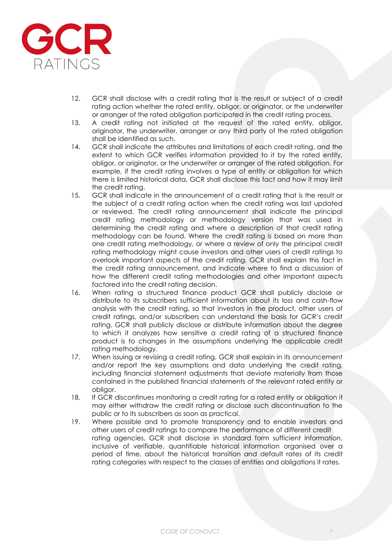

- 12. GCR shall disclose with a credit rating that is the result or subject of a credit rating action whether the rated entity, obligor, or originator, or the underwriter or arranger of the rated obligation participated in the credit rating process.
- 13. A credit rating not initiated at the request of the rated entity, obligor, originator, the underwriter, arranger or any third party of the rated obligation shall be identified as such.
- 14. GCR shall indicate the attributes and limitations of each credit rating, and the extent to which GCR verifies information provided to it by the rated entity, obligor, or originator, or the underwriter or arranger of the rated obligation. For example, if the credit rating involves a type of entity or obligation for which there is limited historical data, GCR shall disclose this fact and how it may limit the credit rating.
- 15. GCR shall indicate in the announcement of a credit rating that is the result or the subject of a credit rating action when the credit rating was last updated or reviewed. The credit rating announcement shall indicate the principal credit rating methodology or methodology version that was used in determining the credit rating and where a description of that credit rating methodology can be found. Where the credit rating is based on more than one credit rating methodology, or where a review of only the principal credit rating methodology might cause investors and other users of credit ratings to overlook important aspects of the credit rating, GCR shall explain this fact in the credit rating announcement, and indicate where to find a discussion of how the different credit rating methodologies and other important aspects factored into the credit rating decision.
- 16. When rating a structured finance product GCR shall publicly disclose or distribute to its subscribers sufficient information about its loss and cash-flow analysis with the credit rating, so that investors in the product, other users of credit ratings, and/or subscribers can understand the basis for GCR's credit rating. GCR shall publicly disclose or distribute information about the degree to which it analyzes how sensitive a credit rating of a structured finance product is to changes in the assumptions underlying the applicable credit rating methodology.
- 17. When issuing or revising a credit rating, GCR shall explain in its announcement and/or report the key assumptions and data underlying the credit rating, including financial statement adjustments that deviate materially from those contained in the published financial statements of the relevant rated entity or obligor.
- 18. If GCR discontinues monitoring a credit rating for a rated entity or obligation it may either withdraw the credit rating or disclose such discontinuation to the public or to its subscribers as soon as practical.
- 19. Where possible and to promote transparency and to enable investors and other users of credit ratings to compare the performance of different credit rating agencies, GCR shall disclose in standard form sufficient information, inclusive of verifiable, quantifiable historical information organised over a period of time, about the historical transition and default rates of its credit rating categories with respect to the classes of entities and obligations it rates.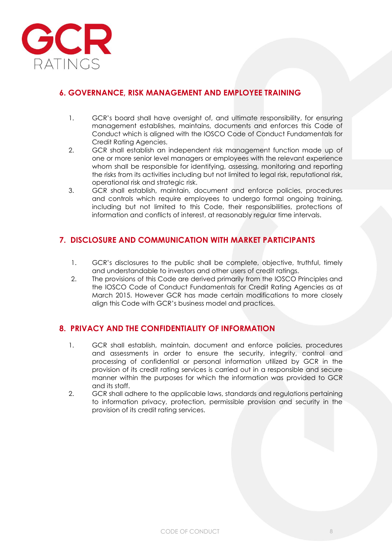

## **6. GOVERNANCE, RISK MANAGEMENT AND EMPLOYEE TRAINING**

- 1. GCR's board shall have oversight of, and ultimate responsibility, for ensuring management establishes, maintains, documents and enforces this Code of Conduct which is aligned with the IOSCO Code of Conduct Fundamentals for Credit Rating Agencies.
- 2. GCR shall establish an independent risk management function made up of one or more senior level managers or employees with the relevant experience whom shall be responsible for identifying, assessing, monitoring and reporting the risks from its activities including but not limited to legal risk, reputational risk, operational risk and strategic risk.
- 3. GCR shall establish, maintain, document and enforce policies, procedures and controls which require employees to undergo formal ongoing training, including but not limited to this Code, their responsibilities, protections of information and conflicts of interest, at reasonably regular time intervals.

### **7. DISCLOSURE AND COMMUNICATION WITH MARKET PARTICIPANTS**

- 1. GCR's disclosures to the public shall be complete, objective, truthful, timely and understandable to investors and other users of credit ratings.
- 2. The provisions of this Code are derived primarily from the IOSCO Principles and the IOSCO Code of Conduct Fundamentals for Credit Rating Agencies as at March 2015. However GCR has made certain modifications to more closely align this Code with GCR's business model and practices.

### **8. PRIVACY AND THE CONFIDENTIALITY OF INFORMATION**

- 1. GCR shall establish, maintain, document and enforce policies, procedures and assessments in order to ensure the security, integrity, control and processing of confidential or personal information utilized by GCR in the provision of its credit rating services is carried out in a responsible and secure manner within the purposes for which the information was provided to GCR and its staff.
- 2. GCR shall adhere to the applicable laws, standards and regulations pertaining to information privacy, protection, permissible provision and security in the provision of its credit rating services.